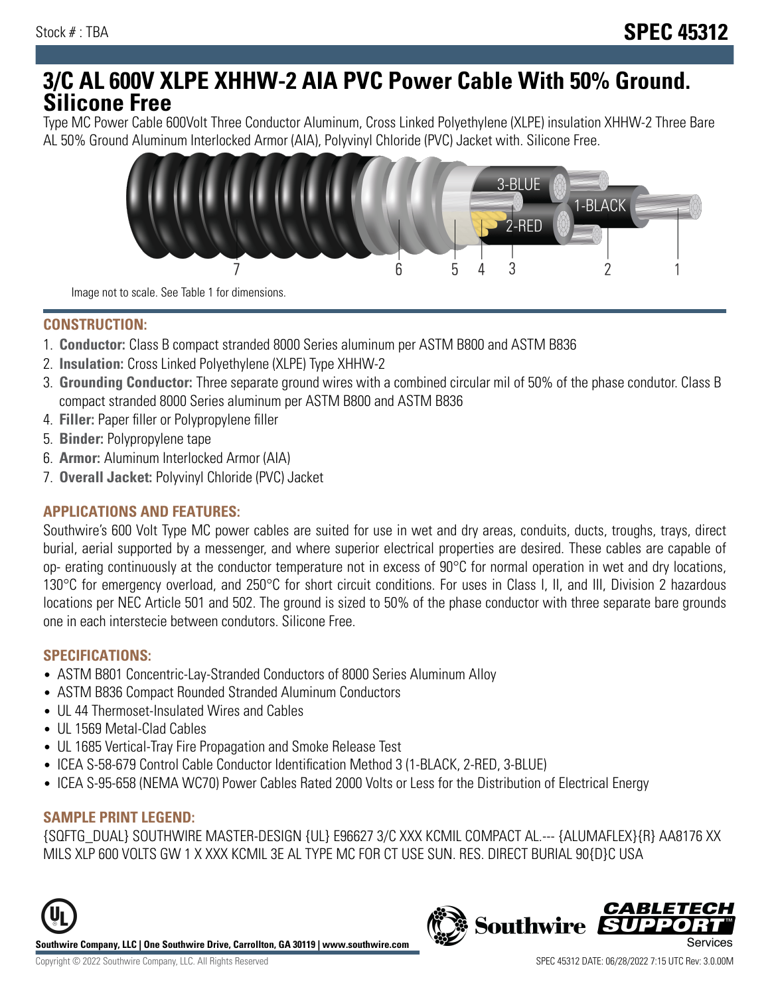# **3/C AL 600V XLPE XHHW-2 AIA PVC Power Cable With 50% Ground. Silicone Free**

Type MC Power Cable 600Volt Three Conductor Aluminum, Cross Linked Polyethylene (XLPE) insulation XHHW-2 Three Bare AL 50% Ground Aluminum Interlocked Armor (AIA), Polyvinyl Chloride (PVC) Jacket with. Silicone Free.



Image not to scale. See Table 1 for dimensions.

#### **CONSTRUCTION:**

- 1. **Conductor:** Class B compact stranded 8000 Series aluminum per ASTM B800 and ASTM B836
- 2. **Insulation:** Cross Linked Polyethylene (XLPE) Type XHHW-2
- 3. **Grounding Conductor:** Three separate ground wires with a combined circular mil of 50% of the phase condutor. Class B compact stranded 8000 Series aluminum per ASTM B800 and ASTM B836
- 4. **Filler:** Paper filler or Polypropylene filler
- 5. **Binder:** Polypropylene tape
- 6. **Armor:** Aluminum Interlocked Armor (AIA)
- 7. **Overall Jacket:** Polyvinyl Chloride (PVC) Jacket

### **APPLICATIONS AND FEATURES:**

Southwire's 600 Volt Type MC power cables are suited for use in wet and dry areas, conduits, ducts, troughs, trays, direct burial, aerial supported by a messenger, and where superior electrical properties are desired. These cables are capable of op- erating continuously at the conductor temperature not in excess of 90°C for normal operation in wet and dry locations, 130°C for emergency overload, and 250°C for short circuit conditions. For uses in Class I, II, and III, Division 2 hazardous locations per NEC Article 501 and 502. The ground is sized to 50% of the phase conductor with three separate bare grounds one in each interstecie between condutors. Silicone Free.

#### **SPECIFICATIONS:**

- ASTM B801 Concentric-Lay-Stranded Conductors of 8000 Series Aluminum Alloy
- ASTM B836 Compact Rounded Stranded Aluminum Conductors
- UL 44 Thermoset-Insulated Wires and Cables
- UL 1569 Metal-Clad Cables
- UL 1685 Vertical-Tray Fire Propagation and Smoke Release Test
- ICEA S-58-679 Control Cable Conductor Identification Method 3 (1-BLACK, 2-RED, 3-BLUE)
- ICEA S-95-658 (NEMA WC70) Power Cables Rated 2000 Volts or Less for the Distribution of Electrical Energy

### **SAMPLE PRINT LEGEND:**

{SQFTG\_DUAL} SOUTHWIRE MASTER-DESIGN {UL} E96627 3/C XXX KCMIL COMPACT AL.--- {ALUMAFLEX}{R} AA8176 XX MILS XLP 600 VOLTS GW 1 X XXX KCMIL 3E AL TYPE MC FOR CT USE SUN. RES. DIRECT BURIAL 90{D}C USA





**CABLETEC**